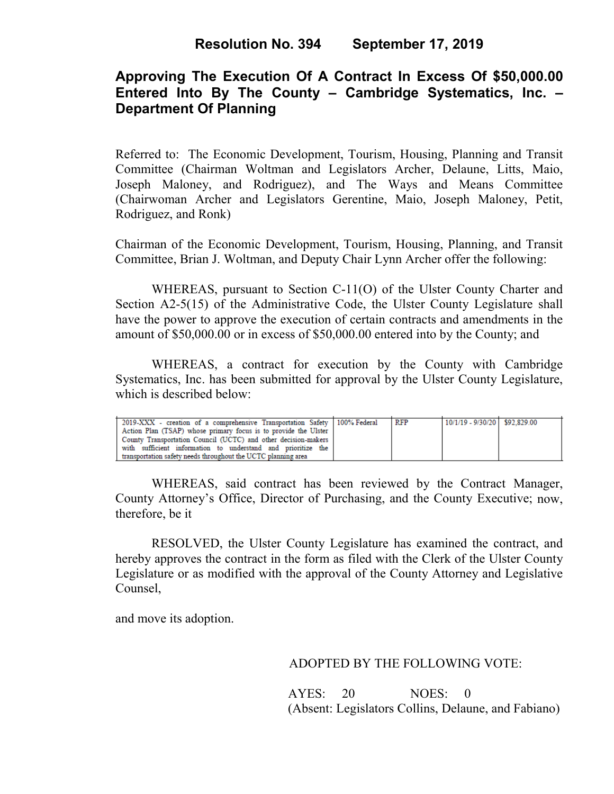# **Approving The Execution Of A Contract In Excess Of \$50,000.00 Entered Into By The County – Cambridge Systematics, Inc. – Department Of Planning**

Referred to: The Economic Development, Tourism, Housing, Planning and Transit Committee (Chairman Woltman and Legislators Archer, Delaune, Litts, Maio, Joseph Maloney, and Rodriguez), and The Ways and Means Committee (Chairwoman Archer and Legislators Gerentine, Maio, Joseph Maloney, Petit, Rodriguez, and Ronk)

Chairman of the Economic Development, Tourism, Housing, Planning, and Transit Committee, Brian J. Woltman, and Deputy Chair Lynn Archer offer the following:

WHEREAS, pursuant to Section C-11(O) of the Ulster County Charter and Section A2-5(15) of the Administrative Code, the Ulster County Legislature shall have the power to approve the execution of certain contracts and amendments in the amount of \$50,000.00 or in excess of \$50,000.00 entered into by the County; and

WHEREAS, a contract for execution by the County with Cambridge Systematics, Inc. has been submitted for approval by the Ulster County Legislature, which is described below:

| 2019-XXX - creation of a comprehensive Transportation Safety   100% Federal | RFP | 10/1/19 - 9/30/20 \$92.829.00 |  |
|-----------------------------------------------------------------------------|-----|-------------------------------|--|
| Action Plan (TSAP) whose primary focus is to provide the Ulster             |     |                               |  |
| County Transportation Council (UCTC) and other decision-makers              |     |                               |  |
| with sufficient information to understand and prioritize the                |     |                               |  |
| transportation safety needs throughout the UCTC planning area               |     |                               |  |

WHEREAS, said contract has been reviewed by the Contract Manager, County Attorney's Office, Director of Purchasing, and the County Executive; now, therefore, be it

RESOLVED, the Ulster County Legislature has examined the contract, and hereby approves the contract in the form as filed with the Clerk of the Ulster County Legislature or as modified with the approval of the County Attorney and Legislative Counsel,

and move its adoption.

### ADOPTED BY THE FOLLOWING VOTE:

 AYES: 20 NOES: 0 (Absent: Legislators Collins, Delaune, and Fabiano)